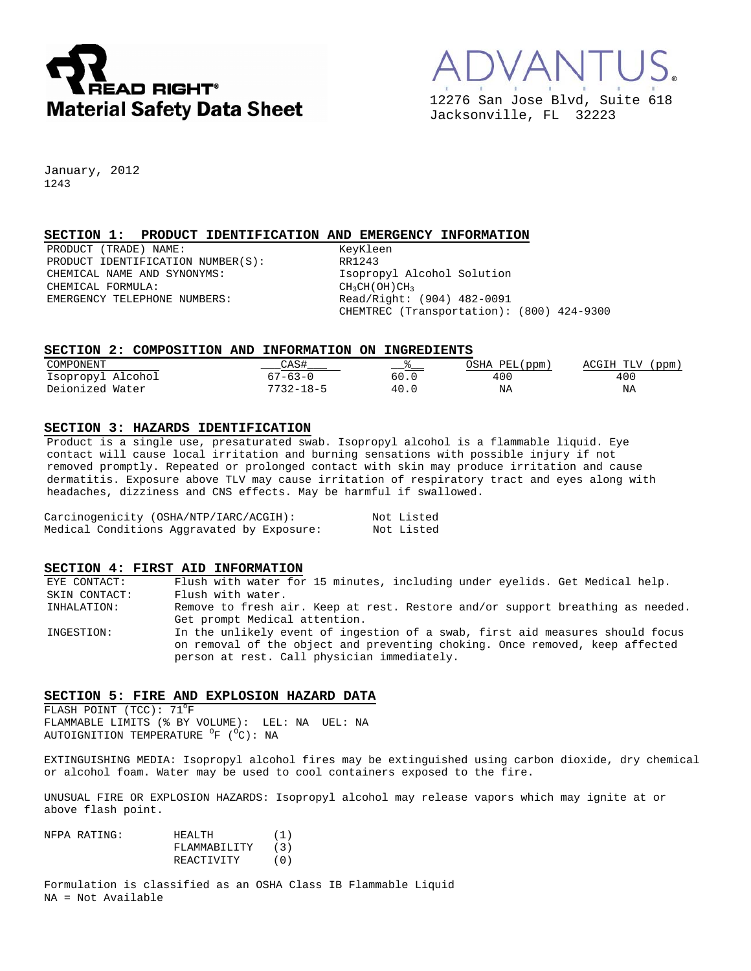



January, 2012 1243

## **SECTION 1: PRODUCT IDENTIFICATION AND EMERGENCY INFORMATION**

PRODUCT (TRADE) NAME: KeyKleen PRODUCT IDENTIFICATION NUMBER(S): RR1243 CHEMICAL NAME AND SYNONYMS: Isopropyl Alcohol Solution CHEMICAL FORMULA:<br>
EMERGENCY TELEPHONE NUMBERS:  $\begin{array}{ccc} \text{CH}_3\text{CH} & \text{CH}_3\text{CH} \\ \text{Red}/\text{Right}: & \end{array}$ 

Read/Right: (904) 482-0091 CHEMTREC (Transportation): (800) 424-9300

## **SECTION 2: COMPOSITION AND INFORMATION ON INGREDIENTS**

| COMPONENT         |                 | —— °— | OSHA PEL(ppm) | ACGIH TLV<br>(ppm, |
|-------------------|-----------------|-------|---------------|--------------------|
| Isopropyl Alcohol | $67 - 63 - 0$   | 60.0  | 400           | 40C                |
| Deionized Water   | $7732 - 18 - 5$ | 40.0  | ΝA            | ΝA                 |

#### **SECTION 3: HAZARDS IDENTIFICATION**

Product is a single use, presaturated swab. Isopropyl alcohol is a flammable liquid. Eye contact will cause local irritation and burning sensations with possible injury if not removed promptly. Repeated or prolonged contact with skin may produce irritation and cause dermatitis. Exposure above TLV may cause irritation of respiratory tract and eyes along with headaches, dizziness and CNS effects. May be harmful if swallowed.

| Carcinogenicity (OSHA/NTP/IARC/ACGIH):     | Not Listed |
|--------------------------------------------|------------|
| Medical Conditions Aggravated by Exposure: | Not Listed |

#### **SECTION 4: FIRST AID INFORMATION**

EYE CONTACT: Flush with water for 15 minutes, including under eyelids. Get Medical help. SKIN CONTACT: Flush with water. INHALATION: Remove to fresh air. Keep at rest. Restore and/or support breathing as needed. Get prompt Medical attention. INGESTION: In the unlikely event of ingestion of a swab, first aid measures should focus on removal of the object and preventing choking. Once removed, keep affected person at rest. Call physician immediately.

#### **SECTION 5: FIRE AND EXPLOSION HAZARD DATA**

FLASH POINT (TCC):  $71^{\circ}$ F FLAMMABLE LIMITS (% BY VOLUME): LEL: NA UEL: NA AUTOIGNITION TEMPERATURE <sup>O</sup>F (<sup>O</sup>C): NA

EXTINGUISHING MEDIA: Isopropyl alcohol fires may be extinguished using carbon dioxide, dry chemical or alcohol foam. Water may be used to cool containers exposed to the fire.

UNUSUAL FIRE OR EXPLOSION HAZARDS: Isopropyl alcohol may release vapors which may ignite at or above flash point.

| NFPA RATING: | HEALTH.      | (1) |
|--------------|--------------|-----|
|              | FLAMMABILITY | (3) |
|              | REACTIVITY   | (0) |

Formulation is classified as an OSHA Class IB Flammable Liquid NA = Not Available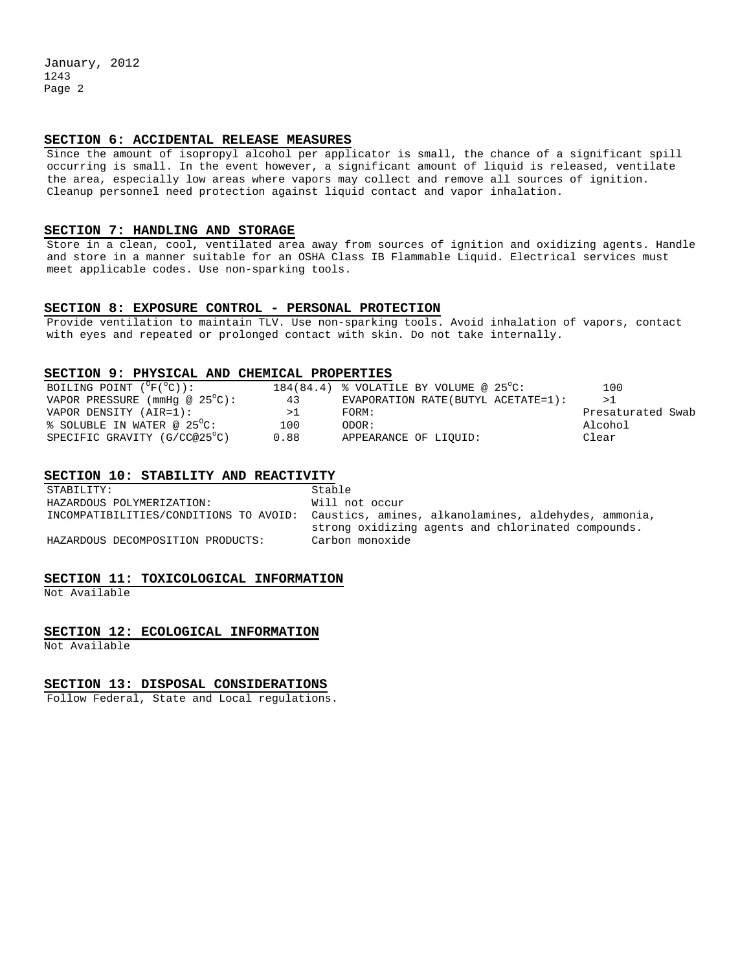January, 2012 1243 Page 2

## **SECTION 6: ACCIDENTAL RELEASE MEASURES**

Since the amount of isopropyl alcohol per applicator is small, the chance of a significant spill occurring is small. In the event however, a significant amount of liquid is released, ventilate the area, especially low areas where vapors may collect and remove all sources of ignition. Cleanup personnel need protection against liquid contact and vapor inhalation.

### **SECTION 7: HANDLING AND STORAGE**

Store in a clean, cool, ventilated area away from sources of ignition and oxidizing agents. Handle and store in a manner suitable for an OSHA Class IB Flammable Liquid. Electrical services must meet applicable codes. Use non-sparking tools.

### **SECTION 8: EXPOSURE CONTROL - PERSONAL PROTECTION**

Provide ventilation to maintain TLV. Use non-sparking tools. Avoid inhalation of vapors, contact with eyes and repeated or prolonged contact with skin. Do not take internally.

#### **SECTION 9: PHYSICAL AND CHEMICAL PROPERTIES**

| BOILING POINT $(^{\circ}F(^{\circ}C))$ : |      | 184(84.4) & VOLATILE BY VOLUME @ $25^{\circ}$ C: | 100               |
|------------------------------------------|------|--------------------------------------------------|-------------------|
| VAPOR PRESSURE (mmHq @ $25^{\circ}$ C):  | 43   | EVAPORATION RATE (BUTYL ACETATE=1):              | >1                |
| VAPOR DENSITY (AIR=1):                   | >⊥   | FORM:                                            | Presaturated Swab |
| $\frac{1}{6}$ SOLUBLE IN WATER @ 25 °C:  | 100  | ODOR:                                            | Alcohol           |
| SPECIFIC GRAVITY (G/CC@25°C)             | 0.88 | APPEARANCE OF LIOUID:                            | Clear             |

#### **SECTION 10: STABILITY AND REACTIVITY**

STABILITY: Stable HAZARDOUS POLYMERIZATION: Will not occur INCOMPATIBILITIES/CONDITIONS TO AVOID: Caustics, amines, alkanolamines, aldehydes, ammonia, strong oxidizing agents and chlorinated compounds. HAZARDOUS DECOMPOSITION PRODUCTS:

## **SECTION 11: TOXICOLOGICAL INFORMATION**

Not Available

### **SECTION 12: ECOLOGICAL INFORMATION**

Not Available

### **SECTION 13: DISPOSAL CONSIDERATIONS**

Follow Federal, State and Local regulations.